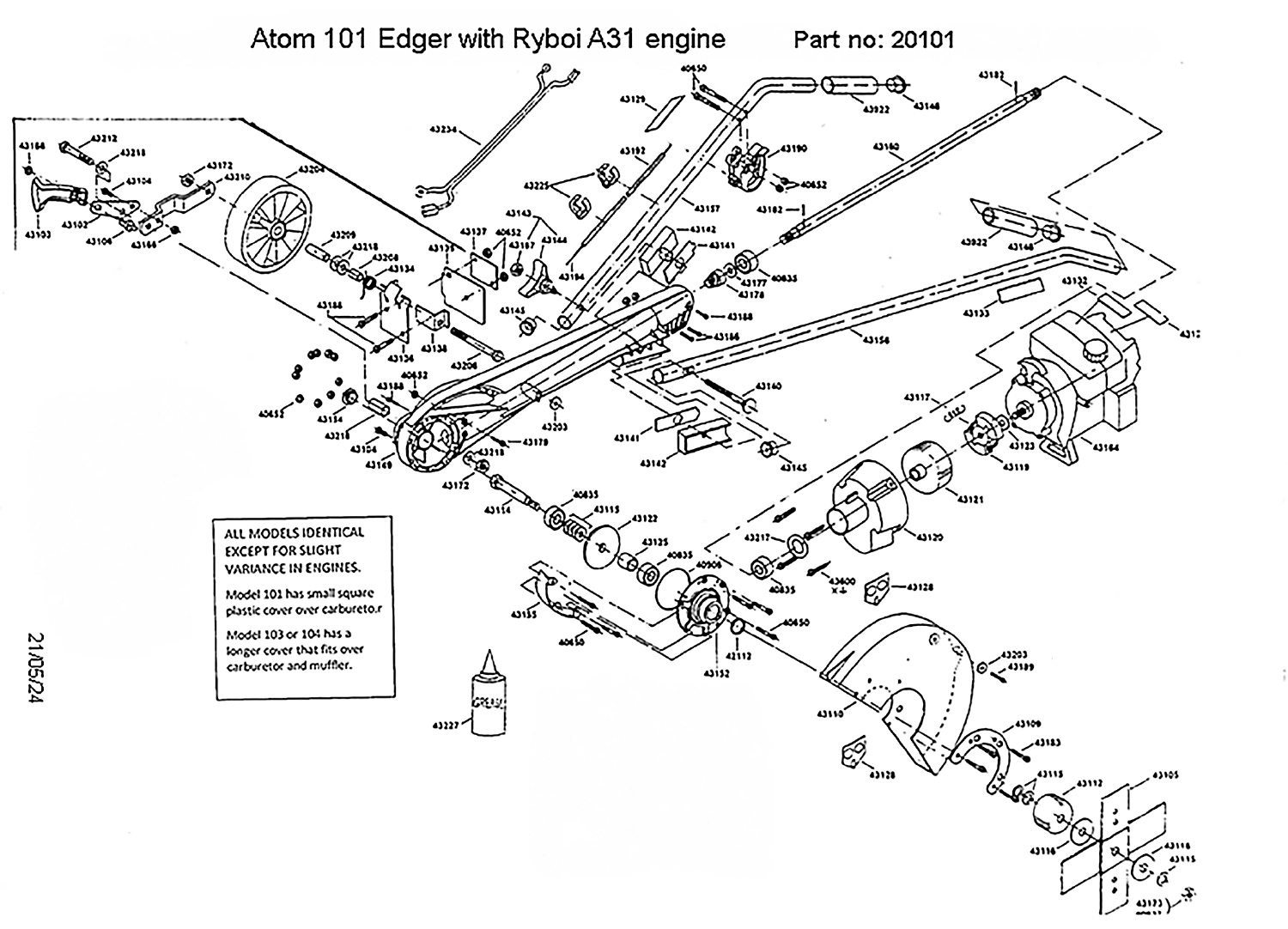